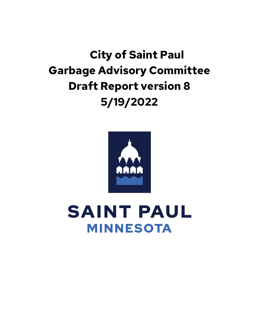# **City of Saint Paul Garbage Advisory Committee Draft Report version 8 5/19/2022**



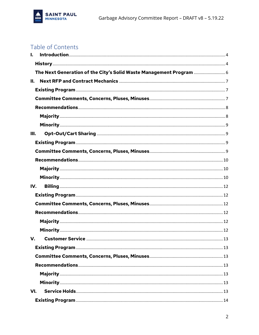

# Table of Contents

| I.                                                                  |
|---------------------------------------------------------------------|
|                                                                     |
| The Next Generation of the City's Solid Waste Management Program  6 |
| Н.                                                                  |
|                                                                     |
|                                                                     |
|                                                                     |
|                                                                     |
|                                                                     |
| III.                                                                |
|                                                                     |
|                                                                     |
|                                                                     |
|                                                                     |
|                                                                     |
| IV.                                                                 |
|                                                                     |
|                                                                     |
|                                                                     |
|                                                                     |
|                                                                     |
| V.                                                                  |
|                                                                     |
|                                                                     |
|                                                                     |
|                                                                     |
|                                                                     |
| VI.                                                                 |
|                                                                     |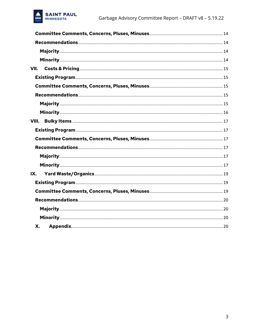

| VII.  |  |
|-------|--|
|       |  |
|       |  |
|       |  |
|       |  |
|       |  |
| VIII. |  |
|       |  |
|       |  |
|       |  |
|       |  |
|       |  |
| IX.   |  |
|       |  |
|       |  |
|       |  |
|       |  |
|       |  |
| Х.    |  |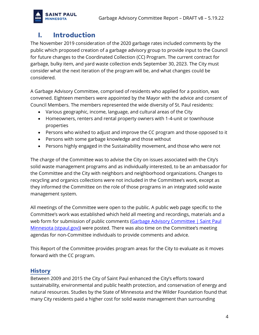

### <span id="page-3-0"></span>**I. Introduction**

The November 2019 consideration of the 2020 garbage rates included comments by the public which proposed creation of a garbage advisory group to provide input to the Council for future changes to the Coordinated Collection (CC) Program. The current contract for garbage, bulky item, and yard waste collection ends September 30, 2023. The City must consider what the next iteration of the program will be, and what changes could be considered.

A Garbage Advisory Committee, comprised of residents who applied for a position, was convened. Eighteen members were appointed by the Mayor with the advice and consent of Council Members. The members represented the wide diversity of St. Paul residents:

- Various geographic, income, language, and cultural areas of the City
- Homeowners, renters and rental property owners with 1-4-unit or townhouse properties
- Persons who wished to adjust and improve the CC program and those opposed to it
- Persons with some garbage knowledge and those without
- Persons highly engaged in the Sustainability movement, and those who were not

The charge of the Committee was to advise the City on issues associated with the City's solid waste management programs and as individually interested, to be an ambassador for the Committee and the City with neighbors and neighborhood organizations. Changes to recycling and organics collections were not included in the Committee's work, except as they informed the Committee on the role of those programs in an integrated solid waste management system.

All meetings of the Committee were open to the public. A public web page specific to the Committee's work was established which held all meeting and recordings, materials and a web form for submission of public comments (Garbage Advisory Committee | Saint Paul [Minnesota \(stpaul.gov\)\)](https://www.stpaul.gov/departments/public-works/residential-garbage/garbage-advisory-committee) were posted. There was also time on the Committee's meeting agendas for non-Committee individuals to provide comments and advice.

This Report of the Committee provides program areas for the City to evaluate as it moves forward with the CC program.

### <span id="page-3-1"></span>**History**

Between 2009 and 2015 the City of Saint Paul enhanced the City's efforts toward sustainability, environmental and public health protection, and conservation of energy and natural resources. Studies by the State of Minnesota and the Wilder Foundation found that many City residents paid a higher cost for solid waste management than surrounding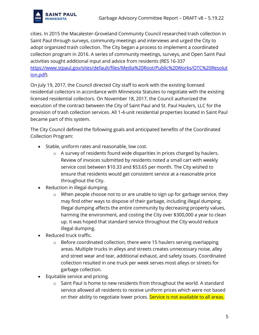

cities. In 2015 the Macalester-Groveland Community Council researched trash collection in Saint Paul through surveys, community meetings and interviews and urged the City to adopt organized trash collection. The City began a process to implement a coordinated collection program in 2016. A series of community meetings, surveys, and Open Saint Paul activities sought additional input and advice from residents (RES 16-337 h[ttps://www.stpaul.gov/sites/default/files/Media%20Root/Public%20Works/OTC%20Resolut](https://www.stpaul.gov/sites/default/files/Media%20Root/Public%20Works/OTC%20Resolution.pdf) [ion.pdf\)](https://www.stpaul.gov/sites/default/files/Media%20Root/Public%20Works/OTC%20Resolution.pdf).

On July 19, 2017, the Council directed City staff to work with the existing licensed residential collectors in accordance with Minnesota Statutes to negotiate with the existing licensed residential collectors. On November 18, 2017, the Council authorized the execution of the contract between the City of Saint Paul and St. Paul Haulers, LLC for the provision of trash collection services. All 1-4-unit residential properties located in Saint Paul became part of this system.

The City Council defined the following goals and anticipated benefits of the Coordinated Collection Program:

- Stable, uniform rates and reasonable, low cost.
	- o A survey of residents found wide disparities in prices charged by haulers. Review of invoices submitted by residents noted a small cart with weekly service cost between \$10.33 and \$53.65 per month. The City wished to ensure that residents would get consistent service at a reasonable price throughout the City.
- Reduction in illegal dumping.
	- $\circ$  When people choose not to or are unable to sign up for garbage service, they may find other ways to dispose of their garbage, including illegal dumping. Illegal dumping affects the entire community by decreasing property values, harming the environment, and costing the City over \$300,000 a year to clean up. It was hoped that standard service throughout the City would reduce illegal dumping.
- Reduced truck traffic.
	- $\circ$  Before coordinated collection, there were 15 haulers serving overlapping areas. Multiple trucks in alleys and streets creates unnecessary noise, alley and street wear and tear, additional exhaust, and safety issues. Coordinated collection resulted in one truck per week serves most alleys or streets for garbage collection.
- Equitable service and pricing.
	- o Saint Paul is home to new residents from throughout the world. A standard service allowed all residents to receive uniform prices which were not based on their ability to negotiate lower prices. Service is not available to all areas.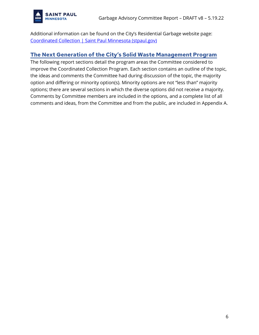

Additional information can be found on the City's Residential Garbage website page: [Coordinated Collection | Saint Paul Minnesota \(stpaul.gov\)](https://www.stpaul.gov/departments/public-works/residential-garbage/coordinated-collection)

### <span id="page-5-0"></span>**The Next Generation of the City's Solid Waste Management Program**

The following report sections detail the program areas the Committee considered to improve the Coordinated Collection Program. Each section contains an outline of the topic, the ideas and comments the Committee had during discussion of the topic, the majority option and differing or minority option(s). Minority options are not "less than" majority options; there are several sections in which the diverse options did not receive a majority. Comments by Committee members are included in the options, and a complete list of all comments and ideas, from the Committee and from the public, are included in Appendix A.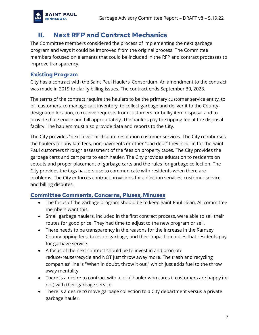

# <span id="page-6-0"></span>**II. Next RFP and Contract Mechanics**

The Committee members considered the process of implementing the next garbage program and ways it could be improved from the original process. The Committee members focused on elements that could be included in the RFP and contract processes to improve transparency.

### <span id="page-6-1"></span>**Existing Program**

City has a contract with the Saint Paul Haulers' Consortium. An amendment to the contract was made in 2019 to clarify billing issues. The contract ends September 30, 2023.

The terms of the contract require the haulers to be the primary customer service entity, to bill customers, to manage cart inventory, to collect garbage and deliver it to the Countydesignated location, to receive requests from customers for bulky item disposal and to provide that service and bill appropriately. The haulers pay the tipping fee at the disposal facility. The haulers must also provide data and reports to the City.

The City provides "next-level" or dispute resolution customer services. The City reimburses the haulers for any late fees, non-payments or other "bad debt" they incur in for the Saint Paul customers through assessment of the fees on property taxes. The City provides the garbage carts and cart parts to each hauler. The City provides education to residents on setouts and proper placement of garbage carts and the rules for garbage collection. The City provides the tags haulers use to communicate with residents when there are problems. The City enforces contract provisions for collection services, customer service, and billing disputes.

### <span id="page-6-2"></span>**Committee Comments, Concerns, Pluses, Minuses**

- The focus of the garbage program should be to keep Saint Paul clean. All committee members want this.
- Small garbage haulers, included in the first contract process, were able to sell their routes for good price. They had time to adjust to the new program or sell.
- There needs to be transparency in the reasons for the increase in the Ramsey County tipping fees, taxes on garbage, and their impact on prices that residents pay for garbage service.
- A focus of the next contract should be to invest in and promote reduce/reuse/recycle and NOT just throw away more. The trash and recycling companies' line is "When in doubt, throw it out," which just adds fuel to the throw away mentality.
- There is a desire to contract with a local hauler who cares if customers are happy (or not) with their garbage service.
- There is a desire to move garbage collection to a City department versus a private garbage hauler.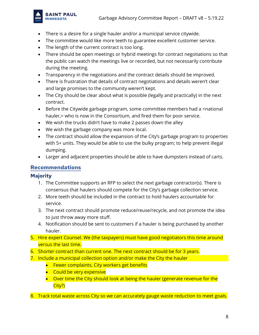

- There is a desire for a single hauler and/or a municipal service citywide.
- The committee would like more teeth to guarantee excellent customer service.
- The length of the current contract is too long.
- There should be open meetings or hybrid meetings for contract negotiations so that the public can watch the meetings live or recorded, but not necessarily contribute during the meeting.
- Transparency in the negotiations and the contract details should be improved.
- There is frustration that details of contract negotiations and details weren't clear and large promises to the community weren't kept.
- The City should be clear about what is possible (legally and practically) in the next contract.
- Before the Citywide garbage program, some committee members had a <national hauler, > who is now in the Consortium, and fired them for poor service.
- We wish the trucks didn't have to make 2 passes down the alley
- We wish the garbage company was more local.
- The contract should allow the expansion of the City's garbage program to properties with 5+ units. They would be able to use the bulky program; to help prevent illegal dumping.
- Larger and adjacent properties should be able to have dumpsters instead of carts.

### <span id="page-7-0"></span>**Recommendations**

### <span id="page-7-1"></span>**Majority**

- 1. The Committee supports an RFP to select the next garbage contractor(s). There is consensus that haulers should compete for the City's garbage collection service.
- 2. More teeth should be included in the contract to hold haulers accountable for service.
- 3. The next contract should promote reduce/reuse/recycle, and not promote the idea to just throw away more stuff.
- 4. Notification should be sent to customers if a hauler is being purchased by another hauler.
- 5. Hire expert Counsel. We (the taxpayers) must have good negotiators this time around versus the last time.
- 6. Shorter contract than current one. The next contract should be for 3 years.
- 7. Include a municipal collection option and/or make the City the hauler
	- Fewer complaints, City workers get benefits
	- Could be very expensive
	- Over time the City should look at being the hauler (generate revenue for the City?)
- 8. Track total waste across City so we can accurately gauge waste reduction to meet goals.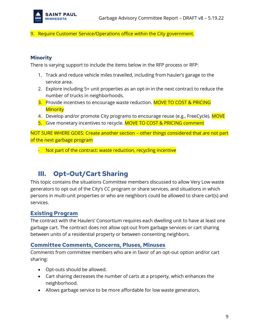

9. Require Customer Service/Operations office within the City government.

### <span id="page-8-0"></span>**Minority**

There is varying support to include the items below in the RFP process or RFP:

- 1. Track and reduce vehicle miles travelled, including from hauler's garage to the service area.
- 2. Explore including 5+ unit properties as an opt-in in the next contract to reduce the number of trucks in neighborhoods.
- 3. Provide incentives to encourage waste reduction. MOVE TO COST & PRICING **Minority**
- 4. Develop and/or promote City programs to encourage reuse (e.g., FreeCycle). MOVE
- 5. Give monetary incentives to recycle. MOVE TO COST & PRICING comment

NOT SURE WHERE GOES: Create another section – other things considered that are not part of the next garbage program

- Not part of the contract: waste reduction, recycling incentive

### <span id="page-8-1"></span>**III. Opt-Out/Cart Sharing**

This topic contains the situations Committee members discussed to allow Very Low waste generators to opt out of the City's CC program or share services, and situations in which persons in multi-unit properties or who are neighbors could be allowed to share cart(s) and services.

### <span id="page-8-2"></span>**Existing Program**

The contract with the Haulers' Consortium requires each dwelling unit to have at least one garbage cart. The contract does not allow opt-out from garbage services or cart sharing between units of a residential property or between consenting neighbors.

### <span id="page-8-3"></span>**Committee Comments, Concerns, Pluses, Minuses**

Comments from committee members who are in favor of an opt-out option and/or cart sharing:

- Opt-outs should be allowed.
- Cart sharing decreases the number of carts at a property, which enhances the neighborhood.
- Allows garbage service to be more affordable for low waste generators.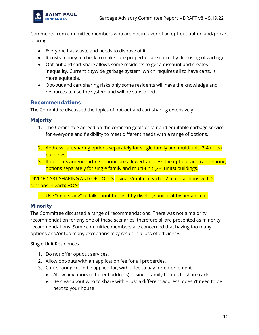

Comments from committee members who are not in favor of an opt-out option and/pr cart sharing:

- Everyone has waste and needs to dispose of it.
- It costs money to check to make sure properties are correctly disposing of garbage.
- Opt-out and cart share allows some residents to get a discount and creates inequality. Current citywide garbage system, which requires all to have carts, is more equitable.
- Opt-out and cart sharing risks only some residents will have the knowledge and resources to use the system and will be subsidized.

### <span id="page-9-0"></span>**Recommendations**

The Committee discussed the topics of opt-out and cart sharing extensively.

#### <span id="page-9-1"></span>**Majority**

- 1. The Committee agreed on the common goals of fair and equitable garbage service for everyone and flexibility to meet different needs with a range of options.
- 2. Address cart sharing options separately for single family and multi-unit (2-4 units) buildings.
- 3. If opt-outs and/or carting sharing are allowed, address the opt-out and cart sharing options separately for single family and multi-unit (2-4 units) buildings.

DIVIDE CART SHARING AND OPT-OUTS – single/multi in each – 2 main sections with 2 sections in each; HOAs

- Use "right sizing" to talk about this; is it by dwelling unit, is it by person, etc.

#### <span id="page-9-2"></span>**Minority**

The Committee discussed a range of recommendations. There was not a majority recommendation for any one of these scenarios, therefore all are presented as minority recommendations. Some committee members are concerned that having too many options and/or too many exceptions may result in a loss of efficiency.

Single Unit Residences

- 1. Do not offer opt out services.
- 2. Allow opt-outs with an application fee for all properties.
- 3. Cart-sharing could be applied for, with a fee to pay for enforcement.
	- Allow neighbors (different address) in single family homes to share carts.
	- Be clear about who to share with just a different address; doesn't need to be next to your house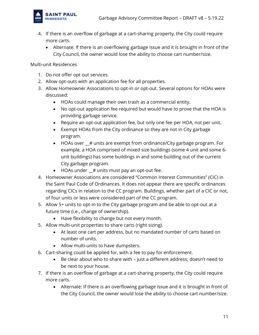

- 4. If there is an overflow of garbage at a cart-sharing property, the City could require more carts.
	- Alternate: If there is an overflowing garbage issue and it is brought in front of the City Council, the owner would lose the ability to choose cart number/size.

Multi-unit Residences

- 1. Do not offer opt out services.
- 2. Allow opt-outs with an application fee for all properties.
- 3. Allow Homeowner Associations to opt-in or opt-out. Several options for HOAs were discussed:
	- HOAs could manage their own trash as a commercial entity.
	- No opt-out application fee required but would have to prove that the HOA is providing garbage service.
	- Require an opt-out application fee, but only one fee per HOA, not per unit.
	- Exempt HOAs from the City ordinance so they are not in City garbage program.
	- HOAs over \_\_# units are exempt from ordinance/City garbage program. For example, a HOA comprised of mixed size buildings (some 4 unit and some 6 unit buildings) has some buildings in and some building out of the current City garbage program.
	- $\bullet$  HOAs under  $\#$  units must pay an opt-out fee.
- 4. Homeowner Associations are considered "Common Interest Communities" (CIC) in the Saint Paul Code of Ordinances. It does not appear there are specific ordinances regarding CICs in relation to the CC program. Buildings, whether part of a CIC or not, of four units or less were considered part of the CC program.
- 5. Allow 5+ units to opt-in to the City garbage program and be able to opt-out at a future time (i.e., change of ownership).
	- Have flexibility to change but not every month.
- 5. Allow multi-unit properties to share carts (right sizing).
	- At least one cart per address, but no mandated number of carts based on number of units.
	- Allow multi-units to have dumpsters.
- 6. Cart-sharing could be applied for, with a fee to pay for enforcement.
	- Be clear about who to share with just a different address; doesn't need to be next to your house.
- 7. If there is an overflow of garbage at a cart-sharing property, the City could require more carts.
	- Alternate: If there is an overflowing garbage issue and it is brought in front of the City Council, the owner would lose the ability to choose cart number/size.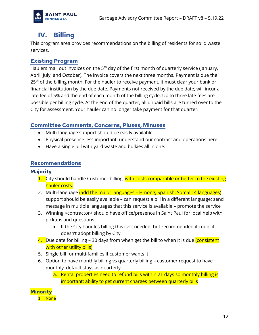

# <span id="page-11-0"></span>**IV. Billing**

This program area provides recommendations on the billing of residents for solid waste services.

### <span id="page-11-1"></span>**Existing Program**

Haulers mail out invoices on the 5<sup>th</sup> day of the first month of quarterly service (January, April, July, and October). The invoice covers the next three months. Payment is due the 25<sup>th</sup> of the billing month. For the hauler to receive payment, it must clear your bank or financial institution by the due date. Payments not received by the due date, will incur a late fee of 5% and the end of each month of the billing cycle. Up to three late fees are possible per billing cycle. At the end of the quarter, all unpaid bills are turned over to the City for assessment. Your hauler can no longer take payment for that quarter.

### <span id="page-11-2"></span>**Committee Comments, Concerns, Pluses, Minuses**

- Multi-language support should be easily available.
- Physical presence less important; understand our contract and operations here.
- Have a single bill with yard waste and bulkies all in one.

### <span id="page-11-3"></span>**Recommendations**

### <span id="page-11-4"></span>**Majority**

- 1. City should handle Customer billing, with costs comparable or better to the existing hauler costs.
- 2. Multi-language (add the major languages Hmong, Spanish, Somali; 4 languages) support should be easily available – can request a bill in a different language; send message in multiple languages that this service is available – promote the service
- 3. Winning <contractor> should have office/presence in Saint Paul for local help with pickups and questions
	- If the City handles billing this isn't needed; but recommended if council doesn't adopt billing by City
- 4. Due date for billing 30 days from when get the bill to when it is due (consistent with other utility bills)
- 5. Single bill for multi-families if customer wants it
- 6. Option to have monthly billing vs quarterly billing customer request to have monthly, default stays as quarterly.
	- a. Rental properties need to refund bills within 21 days so monthly billing is important; ability to get current charges between quarterly bills

<span id="page-11-5"></span>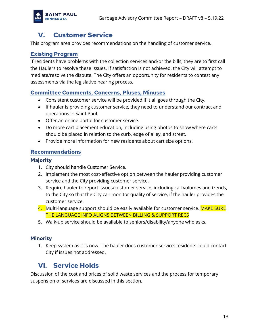

# <span id="page-12-0"></span>**V. Customer Service**

This program area provides recommendations on the handling of customer service.

### <span id="page-12-1"></span>**Existing Program**

If residents have problems with the collection services and/or the bills, they are to first call the Haulers to resolve these issues. If satisfaction is not achieved, the City will attempt to mediate/resolve the dispute. The City offers an opportunity for residents to contest any assessments via the legislative hearing process.

### <span id="page-12-2"></span>**Committee Comments, Concerns, Pluses, Minuses**

- Consistent customer service will be provided if it all goes through the City.
- If hauler is providing customer service, they need to understand our contract and operations in Saint Paul.
- Offer an online portal for customer service.
- Do more cart placement education, including using photos to show where carts should be placed in relation to the curb, edge of alley, and street.
- Provide more information for new residents about cart size options.

### <span id="page-12-3"></span>**Recommendations**

### <span id="page-12-4"></span>**Majority**

- 1. City should handle Customer Service.
- 2. Implement the most cost-effective option between the hauler providing customer service and the City providing customer service.
- 3. Require hauler to report issues/customer service, including call volumes and trends, to the City so that the City can monitor quality of service, if the hauler provides the customer service.
- 4. Multi-language support should be easily available for customer service. MAKE SURE THE LANGUAGE INFO ALIGNS BETWEEN BILLING & SUPPORT RECS
- 5. Walk-up service should be available to seniors/disability/anyone who asks.

### <span id="page-12-5"></span>**Minority**

1. Keep system as it is now. The hauler does customer service; residents could contact City if issues not addressed.

# <span id="page-12-6"></span>**VI. Service Holds**

Discussion of the cost and prices of solid waste services and the process for temporary suspension of services are discussed in this section.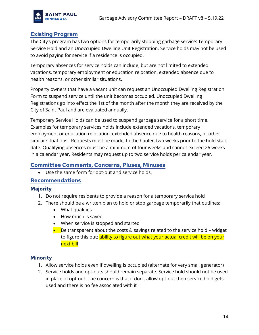

### <span id="page-13-0"></span>**Existing Program**

The City's program has two options for temporarily stopping garbage service: Temporary Service Hold and an Unoccupied Dwelling Unit Registration. Service holds may not be used to avoid paying for service if a residence is occupied.

Temporary absences for service holds can include, but are not limited to extended vacations, temporary employment or education relocation, extended absence due to health reasons, or other similar situations.

Property owners that have a vacant unit can request an Unoccupied Dwelling Registration Form to suspend service until the unit becomes occupied. Unoccupied Dwelling Registrations go into effect the 1st of the month after the month they are received by the City of Saint Paul and are evaluated annually.

Temporary Service Holds can be used to suspend garbage service for a short time. Examples for temporary services holds include extended vacations, temporary employment or education relocation, extended absence due to health reasons, or other similar situations. Requests must be made, to the hauler, two weeks prior to the hold start date. Qualifying absences must be a minimum of four weeks and cannot exceed 26 weeks in a calendar year. Residents may request up to two service holds per calendar year.

### <span id="page-13-1"></span>**Committee Comments, Concerns, Pluses, Minuses**

• Use the same form for opt-out and service holds.

#### <span id="page-13-2"></span>**Recommendations**

#### <span id="page-13-3"></span>**Majority**

- 1. Do not require residents to provide a reason for a temporary service hold
- 2. There should be a written plan to hold or stop garbage temporarily that outlines:
	- What qualifies
	- How much is saved
	- When service is stopped and started
	- $\bullet$  Be transparent about the costs & savings related to the service hold widget to figure this out; ability to figure out what your actual credit will be on your next bill

#### <span id="page-13-4"></span>**Minority**

- 1. Allow service holds even if dwelling is occupied (alternate for very small generator)
- 2. Service holds and opt-outs should remain separate. Service hold should not be used in place of opt-out. The concern is that if don't allow opt-out then service hold gets used and there is no fee associated with it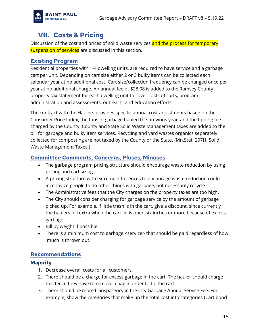

### <span id="page-14-0"></span>**VII. Costs & Pricing**

Discussion of the cost and prices of solid waste services and the process for temporary suspension of services are discussed in this section.

### <span id="page-14-1"></span>**Existing Program**

Residential properties with 1-4 dwelling units, are required to have service and a garbage cart per unit. Depending on cart size either 2 or 3 bulky items can be collected each calendar year at no additional cost. Cart size/collection frequency can be changed once per year at no additional charge. An annual fee of \$28.08 is added to the Ramsey County property tax statement for each dwelling unit to cover costs of carts, program administration and assessments, outreach, and education efforts.

The contract with the Haulers provides specific annual cost adjustments based on the Consumer Price Index, the tons of garbage hauled the previous year, and the tipping fee charged by the County. County and State Solid Waste Management taxes are added to the bill for garbage and bulky item services. Recycling and yard wastes organics separately collected for composting are not taxed by the County or the State. (Mn.Stat. 297H. Solid Waste Management Taxes.)

### <span id="page-14-2"></span>**Committee Comments, Concerns, Pluses, Minuses**

- The garbage program pricing structure should encourage waste reduction by using pricing and cart sizing.
- A pricing structure with extreme differences to encourage waste reduction could incentivize people to do other things with garbage, not necessarily recycle it.
- The Administrative fees that the City charges on the property taxes are too high.
- The City should consider charging for garbage service by the amount of garbage picked up. For example, if little trash is in the cart, give a discount, since currently the haulers bill extra when the cart lid is open six inches or more because of excess garbage.
- Bill by weight if possible.
- There is a minimum cost to garbage <service> that should be paid regardless of how much is thrown out.

### <span id="page-14-3"></span>**Recommendations**

### <span id="page-14-4"></span>**Majority**

- 1. Decrease overall costs for all customers.
- 2. There should be a charge for excess garbage in the cart. The hauler should charge this fee, if they have to remove a bag in order to tip the cart.
- 3. There should be more transparency in the City Garbage Annual Service Fee. For example, show the categories that make up the total cost into categories (Cart bond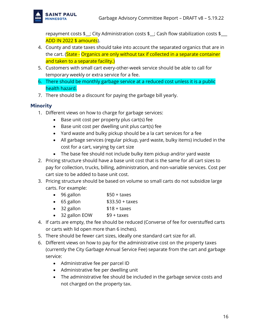repayment costs \$\_\_; City Administration costs \$\_\_; Cash flow stabilization costs \$\_\_\_ ADD IN 2022 \$ amounts).

- 4. County and state taxes should take into account the separated organics that are in the cart. (State - Organics are only without tax if collected in a separate container and taken to a separate facility.)
- 5. Customers with small cart every-other-week service should be able to call for temporary weekly or extra service for a fee.
- 6. There should be monthly garbage service at a reduced cost unless it is a public health hazard.
- 7. There should be a discount for paying the garbage bill yearly.

### <span id="page-15-0"></span>**Minority**

- 1. Different views on how to charge for garbage services:
	- Base unit cost per property plus cart(s) fee
	- Base unit cost per dwelling unit plus cart(s) fee
	- Yard waste and bulky pickup should be a la cart services for a fee
	- All garbage services (regular pickup, yard waste, bulky items) included in the cost for a cart, varying by cart size
	- The base fee should not include bulky item pickup and/or yard waste
- 2. Pricing structure should have a base unit cost that is the same for all cart sizes to pay for collection, trucks, billing, administration, and non-variable services. Cost per cart size to be added to base unit cost.
- 3. Pricing structure should be based on volume so small carts do not subsidize large carts. For example:
	- $\bullet$  96 gallon  $$50 + taxes$
	- $\bullet$  65 gallon  $$33.50 + taxes$
	- $\bullet$  32 gallon  $$18 + \text{taxes}$
	- 32 gallon EOW \$9 + taxes
- 4. If carts are empty, the fee should be reduced (Converse of fee for overstuffed carts or carts with lid open more than 6 inches).
- 5. There should be fewer cart sizes, ideally one standard cart size for all.
- 6. Different views on how to pay for the administrative cost on the property taxes (currently the City Garbage Annual Service Fee) separate from the cart and garbage service:
	- Administrative fee per parcel ID
	- Administrative fee per dwelling unit
	- The administrative fee should be included in the garbage service costs and not charged on the property tax.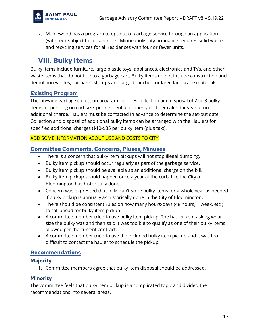

7. Maplewood has a program to opt-out of garbage service through an application (with fee), subject to certain rules. Minneapolis city ordinance requires solid waste and recycling services for all residences with four or fewer units.

# <span id="page-16-0"></span>**VIII. Bulky Items**

Bulky items include furniture, large plastic toys, appliances, electronics and TVs, and other waste items that do not fit into a garbage cart. Bulky items do not include construction and demolition wastes, car parts, stumps and large branches, or large landscape materials.

### <span id="page-16-1"></span>**Existing Program**

The citywide garbage collection program includes collection and disposal of 2 or 3 bulky items, depending on cart size, per residential property unit per calendar year at no additional charge. Haulers must be contacted in advance to determine the set-out date. Collection and disposal of additional bulky items can be arranged with the Haulers for specified additional charges (\$10-\$35 per bulky item (plus tax)).

### ADD SOME INFORMATION ABOUT USE AND COSTS TO CITY

### <span id="page-16-2"></span>**Committee Comments, Concerns, Pluses, Minuses**

- There is a concern that bulky item pickups will not stop illegal dumping.
- Bulky item pickup should occur regularly as part of the garbage service.
- Bulky item pickup should be available as an additional charge on the bill.
- Bulky item pickup should happen once a year at the curb, like the City of Bloomington has historically done.
- Concern was expressed that folks can't store bulky items for a whole year as needed if bulky pickup is annually as historically done in the City of Bloomington.
- There should be consistent rules on how many hours/days (48 hours, 1 week, etc.) to call ahead for bulky item pickup.
- A committee member tried to use bulky item pickup. The hauler kept asking what size the bulky was and then said it was too big to qualify as one of their bulky items allowed per the current contract.
- A committee member tried to use the included bulky item pickup and it was too difficult to contact the hauler to schedule the pickup.

### <span id="page-16-3"></span>**Recommendations**

### <span id="page-16-4"></span>**Majority**

1. Committee members agree that bulky item disposal should be addressed.

### <span id="page-16-5"></span>**Minority**

The committee feels that bulky item pickup is a complicated topic and divided the recommendations into several areas.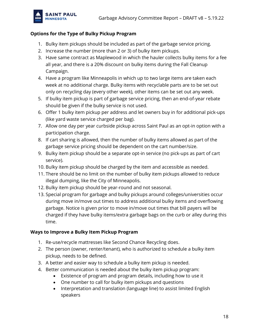

### **Options for the Type of Bulky Pickup Program**

- 1. Bulky item pickups should be included as part of the garbage service pricing.
- 2. Increase the number (more than 2 or 3) of bulky item pickups.
- 3. Have same contract as Maplewood in which the hauler collects bulky items for a fee all year, and there is a 20% discount on bulky items during the Fall Cleanup Campaign.
- 4. Have a program like Minneapolis in which up to two large items are taken each week at no additional charge. Bulky items with recyclable parts are to be set out only on recycling day (every other week), other items can be set out any week.
- 5. If bulky item pickup is part of garbage service pricing, then an end-of-year rebate should be given if the bulky service is not used.
- 6. Offer 1 bulky item pickup per address and let owners buy in for additional pick-ups (like yard waste service charged per bag).
- 7. Allow one day per year curbside pickup across Saint Paul as an opt-in option with a participation charge.
- 8. If cart sharing is allowed, then the number of bulky items allowed as part of the garbage service pricing should be dependent on the cart number/size.
- 9. Bulky item pickup should be a separate opt-in service (no pick-ups as part of cart service).
- 10. Bulky item pickup should be charged by the item and accessible as needed.
- 11. There should be no limit on the number of bulky item pickups allowed to reduce illegal dumping, like the City of Minneapolis.
- 12. Bulky item pickup should be year-round and not seasonal.
- 13. Special program for garbage and bulky pickups around colleges/universities occur during move in/move out times to address additional bulky items and overflowing garbage. Notice is given prior to move in/move out times that bill payers will be charged if they have bulky items/extra garbage bags on the curb or alley during this time.

### **Ways to Improve a Bulky Item Pickup Program**

- 1. Re-use/recycle mattresses like Second Chance Recycling does.
- 2. The person (owner, renter/tenant), who is authorized to schedule a bulky item pickup, needs to be defined.
- 3. A better and easier way to schedule a bulky item pickup is needed.
- 4. Better communication is needed about the bulky item pickup program:
	- Existence of program and program details, including how to use it
	- One number to call for bulky item pickups and questions
	- Interpretation and translation (language line) to assist limited English speakers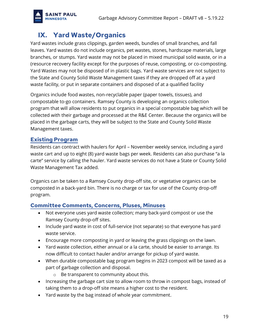

# <span id="page-18-0"></span>**IX. Yard Waste/Organics**

Yard wastes include grass clippings, garden weeds, bundles of small branches, and fall leaves. Yard wastes do not include organics, pet wastes, stones, hardscape materials, large branches, or stumps. Yard waste may not be placed in mixed municipal solid waste, or in a (resource recovery facility except for the purposes of reuse, composting, or co-composting. Yard Wastes may not be disposed of in plastic bags. Yard waste services are not subject to the State and County Solid Waste Management taxes if they are dropped off at a yard waste facility, or put in separate containers and disposed of at a qualified facility

Organics include food wastes, non-recyclable paper (paper towels, tissues), and compostable to-go containers. Ramsey County is developing an organics collection program that will allow residents to put organics in a special compostable bag which will be collected with their garbage and processed at the R&E Center. Because the organics will be placed in the garbage carts, they will be subject to the State and County Solid Waste Management taxes.

### <span id="page-18-1"></span>**Existing Program**

Residents can contract with haulers for April – November weekly service, including a yard waste cart and up to eight (8) yard waste bags per week. Residents can also purchase "a la carte" service by calling the hauler. Yard waste services do not have a State or County Solid Waste Management Tax added.

Organics can be taken to a Ramsey County drop-off site, or vegetative organics can be composted in a back-yard bin. There is no charge or tax for use of the County drop-off program.

### <span id="page-18-2"></span>**Committee Comments, Concerns, Pluses, Minuses**

- Not everyone uses yard waste collection; many back-yard compost or use the Ramsey County drop-off sites.
- Include yard waste in cost of full-service (not separate) so that everyone has yard waste service.
- Encourage more composting in yard or leaving the grass clippings on the lawn.
- Yard waste collection, either annual or a la carte, should be easier to arrange. Its now difficult to contact hauler and/or arrange for pickup of yard waste.
- When durable compostable bag program begins in 2023 compost will be taxed as a part of garbage collection and disposal.
	- o Be transparent to community about this.
- Increasing the garbage cart size to allow room to throw in compost bags, instead of taking them to a drop-off site means a higher cost to the resident.
- Yard waste by the bag instead of whole year commitment.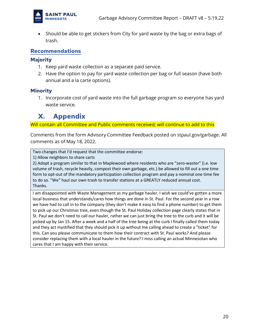

• Should be able to get stickers from City for yard waste by the bag or extra bags of trash.

### <span id="page-19-0"></span>**Recommendations**

### <span id="page-19-1"></span>**Majority**

- 1. Keep yard waste collection as a separate paid service.
- 2. Have the option to pay for yard waste collection per bag or full season (have both annual and a la carte options).

### <span id="page-19-2"></span>**Minority**

1. Incorporate cost of yard waste into the full garbage program so everyone has yard waste service.

# <span id="page-19-3"></span>**X. Appendix**

Will contain all Committee and Public comments received; will continue to add to this

Comments from the form Advisory Committee Feedback posted on stpaul.gov/garbage. All comments as of May 18, 2022.

Two changes that I'd request that the committee endorse:

1) Allow neighbors to share carts

2) Adopt a program similar to that in Maplewood where residents who are "zero-waster" (i.e. low volume of trash, recycle heavily, compost their own garbage, etc.) be allowed to fill out a one time form to opt-out of the mandatory participation collection program and pay a nominal one time fee to do so. "We" haul our own trash to transfer stations at a GREATLY reduced annual cost. Thanks.

I am disappointed with Waste Management as my garbage hauler. I wish we could've gotten a more local business that understands/cares how things are done in St. Paul. For the second year in a row we have had to call in to the company (they don't make it easy to find a phone number) to get them to pick up our Christmas tree, even though the St. Paul Holiday collection page clearly states that in St. Paul we don't need to call our hauler, rather we can just bring the tree to the curb and it will be picked up by Jan 15. After a week and a half of the tree being at the curb I finally called them today and they act mystified that they should pick it up without me calling ahead to create a "ticket" for this. Can you please communicate to them how their contract with St. Paul works? And please consider replacing them with a local hauler in the future? I miss calling an actual Minnesotan who cares that I am happy with their service.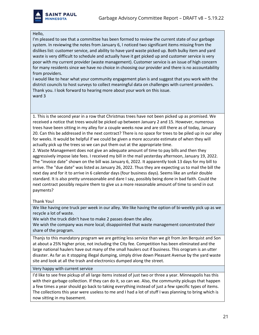

#### Hello,

I'm pleased to see that a committee has been formed to review the current state of our garbage system. In reviewing the notes from January 6, I noticed two significant items missing from the dislikes list: customer service, and ability to have yard waste picked up. Both bulky item and yard waste is very difficult to schedule and actually have it get picked up and customer service is very poor with my current provider (waste management). Customer service is an issue of high concern for many residents since we have no choice in choosing our provider and there is no accountability from providers.

I would like to hear what your community engagement plan is and suggest that you work with the district councils to host surveys to collect meaningful data on challenges with current providers. Thank you. I look forward to hearing more about your work on this issue. ward 3

1. This is the second year in a row that Christmas trees have not been picked up as promised. We received a notice that trees would be picked up between January 2 and 15. However, numerous trees have been sitting in my alley for a couple weeks now and are still there as of today, January 20. Can this be addressed in the next contract? There is no space for trees to be piled up in our alley for weeks. It would be helpful if we could be given a more accurate estimate of when they will actually pick up the trees so we can put them out at the appropriate time.

2. Waste Management does not give an adequate amount of time to pay bills and then they aggressively impose late fees. I received my bill in the mail yesterday afternoon, January 19, 2022. The "invoice date" shown on the bill was January 6, 2022. It apparently took 13 days for my bill to arrive. The "due date" was listed as January 26, 2022. Thus they are expecting us to mail the bill the next day and for it to arrive in 6 calendar days (four business days). Seems like an unfair double standard. It is also pretty unreasonable and dare I say, possibly being done in bad faith. Could the next contract possibly require them to give us a more reasonable amount of time to send in out payments?

#### Thank You!

We like having one truck per week in our alley. We like having the option of bi-weekly pick up as we recycle a lot of waste.

We wish the truck didn't have to make 2 passes down the alley.

We wish the company was more local; disappointed that waste management concentrated their share of the program.

Thanjs to this mandatory program we are getting less service than we git from Jen Berquist and Son at about a 25% higher price, not including the City fee. Competition has been eliminated and the large national haulers have out many of the small haulers out if business. This orogram is an utter disaster. As far as it stopping illegal dumping, simply drive down Pleasant Avenue by the yard waste site and look at all the trash and electronics dumped along the street.

#### Very happy with current service

I'd like to see free pickup of all large items instead of just two or three a year. Minneapolis has this with their garbage collection. If they can do it, so can we. Also, the community pickups that happen a few times a year should go back to taking everything instead of just a few specific types of items. The collections this year were useless to me and I had a lot of stuff I was planning to bring which is now sitting in my basement.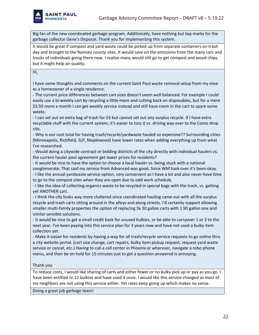

Big fan of the new coordinated garbage program. Additionally, have nothing but top marks for the garbage collector Gene's Disposal. Thank you for implementing this system.

It would be great if compost and yard waste could be picked up from separate containers on trash day and brought to the Ramsey county sites. It would save on the emissions from the many cars and trucks of individuals going there now. I realize many would still go to get compost and wood chips, but it might help air quality.

#### Hi,

I have some thoughts and comments on the current Saint Paul waste removal setup from my view as a homeowner of a single residence.

- The current price differences between cart sizes doesn't seem well balanced. For example I could easily use a bi-weekly cart by recycling a little more and cutting back on disposables, but for a mere \$3.50 more a month I can get weekly service instead and still have room in the cart to spare some weeks.

- I can set out an extra bag of trash for \$3 but cannot set out any surplus recycle. If I have extra recyclable stuff with the current system, it's easier to toss it vs. driving way over to the Como drop site.

- Why is our cost total for having trash/recycle/yardwaste hauled so expensive?? Surrounding cities (Minneapolis, Richfield, SLP, Maplewood) have lower rates when adding everything up from what I've researched.

- Would doing a citywide contract or bidding districts of the city directly with individual haulers vs. the current hauler pool agreement get lower prices for residents?

- It would be nice to have the option to choose a local hauler vs. being stuck with a national conglomerate. That said my service from Advanced was good. Since WM took over it's been okay. - I like the annual yardwaste service option, very convenient as I have a lot and also never have time

to go to the compost sites when they are open due to odd work schedule.

- I like the idea of collecting organics waste to be recycled in special bags with the trash, vs. getting yet ANOTHER cart.

- I think the city looks way more cluttered since coordinated hauling came out with all the surplus recycle and trash carts sitting around in the alleys and along streets. I'd certainly support allowing smaller multi-family properties the option of replacing 3x 30 gallon carts with 1 90 gallon one and similar sensible solutions.

- It would be nice to get a small credit back for unused bulkies, or be able to carryover 1 or 2 to the next year. I've been paying into this service plan for 3 years now and have not used a bulky item collection yet.

- Make it easier for residents by having a way for all trash/recycle service requests to go online thru a city website portal. (cart size change, cart repairs, bulky item pickup request, request yard waste service or cancel, etc.) Having to call a call center in Phoenix or wherever, navigate a robo phone menu, and then be on hold for 15 minutes just to get a question answered is annoying.

#### Thank you

To reduce costs, I would like sharing of carts and either fewer or no bulky pick up or pay as you go. I have been entitled to 12 bulkies and have used it once. I would like this service changed as most of my neighbors are not using this service either. Yet rates keep going up which makes no sense.

Doing a great job garbage team!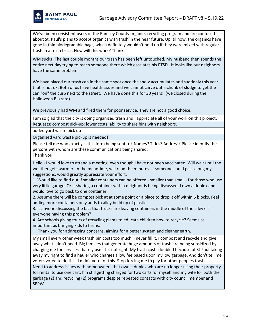We've been consistent users of the Ramsey County organics recycling program and are confused about St. Paul's plans to accept organics with trash in the near future. Up 'til now, the organics have gone in thin biodegradable bags, which definitely wouldn't hold up if they were mixed with regular trash in a trash truck. How will this work? Thanks!

WM sucks! The last couple months our trash has been left untouched. My husband then spends the entire next day trying to reach someone there which escalates his PTSD. It looks like our neighbors have the same problem.

We have placed our trash can in the same spot once the snow accumulates and suddenly this year that is not ok. Both of us have health issues and we cannot carve out a chunk of sludge to get the can "on" the curb next to the street. We have done this for 30 years! (we closed during the Halloween Blizzard)

We previously had WM and fired them for poor service. They are not a good choice.

I am so glad that the city is doing organized trash and I appreciate all of your work on this project. Requests: compost pick-up; lower costs, ability to share bins with neighbors.

added yard waste pick up

Organized yard waste pickup is needed!

Please tell me who exactly is this form being sent to? Names? Titles? Address? Please identify the persons with whom are these communications being shared.

Thank you.

Hello - I would love to attend a meeting, even though I have not been vaccinated. Will wait until the weather gets warmer. In the meantime, will read the minutes. If someone could pass along my suggestions, would greatly appreciate your effort.

1. Would like to find out if smaller containers can be offered - smaller than small - for those who use very little garage. Or if sharing a container with a neighbor is being discussed. I own a duplex and would love to go back to one container.

2. Assume there will be compost pick at at some point or a place to drop it off within 6 blocks. Feel adding more containers only adds to alley build up of plastic.

3. Is anyone discussing the fact that trucks are leaving containers in the middle of the alley? Is everyone having this problem?

4. Are schools giving tours of recycling plants to educate children how to recycle? Seems as important as bringing kids to farms.

Thank you for addressing concerns, aiming for a better system and cleaner earth.

My small every other week trash bin costs too much. I never fill it. I compost and recycle and give away what I don't need. Big families that generate huge amounts of trash are being subsidized by charging me for services I barely use. It is not right. My trash costs doubled because of St Paul taking away my right to find a hauler who charges a low fee based upon my low garbage. And don't tell me voters voted to do this. I didn't vote for this. Stop forcing me to pay for other peoples trash.

Need to address issues with homeowners that own a duplex who are no longer using their property for rental to use one cart. I'm still getting charged for two carts for myself and my wife for both the garbage (2) and recycling (2) programs despite repeated contacts with city council member and SPPW.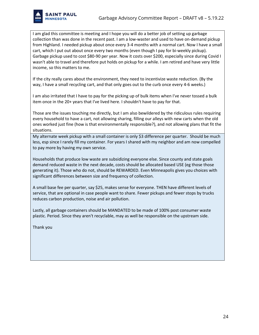

I am glad this committee is meeting and I hope you will do a better job of setting up garbage collection than was done in the recent past. I am a low-waster and used to have on-demand pickup from Highland. I needed pickup about once every 3-4 months with a normal cart. Now I have a small cart, which I put out about once every two months (even though I pay for bi-weekly pickup). Garbage pickup used to cost \$80-90 per year. Now it costs over \$200, especially since during Covid I wasn't able to travel and therefore put holds on pickup for a while. I am retired and have very little income, so this matters to me.

If the city really cares about the environment, they need to incentivize waste reduction. (By the way, I have a small recycling cart, and that only goes out to the curb once every 4-6 weeks.)

I am also irritated that I have to pay for the picking up of bulk items when I've never tossed a bulk item once in the 20+ years that I've lived here. I shouldn't have to pay for that.

Those are the issues touching me directly, but I am also bewildered by the ridiculous rules requiring every household to have a cart, not allowing sharing, filling our alleys with new carts when the old ones worked just fine (how is that environmentally responsible?), and not allowing plans that fit the situations.

My alternate week pickup with a small container is only \$3 difference per quarter. Should be much less, esp since I rarely fill my container. For years I shared with my neighbor and am now compelled to pay more by having my own service.

Households that produce low waste are subsidizing everyone else. Since county and state goals demand reduced waste in the next decade, costs should be allocated based USE (eg those those generating it). Those who do not, should be REWARDED. Even Minneapolis gives you choices with significant differences between size and frequency of collection.

A small base fee per quarter, say \$25, makes sense for everyone. THEN have different levels of service, that are optional in case people want to share. Fewer pickups and fewer stops by trucks reduces carbon production, noise and air pollution.

Lastly, all garbage containers should be MANDATED to be made of 100% post consumer waste plastic. Period. Since they aren't recyclable, may as well be responsible on the upstream side.

Thank you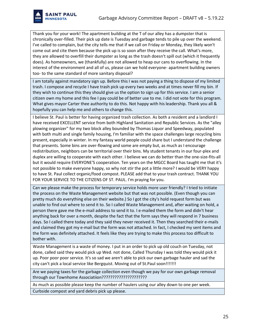

Thank you for your work! The apartment building at the T of our alley has a dumpster that is chronically over-filled. Their pick up date is Tuesday and garbage tends to pile up over the weekend. I've called to complain, but the city tells me that if we call on Friday or Monday, they likely won't come out and cite them because the pick up is so soon after they receive the call. What's more, they are allowed to overfill their dumpster as long as the trash doesn't spill out (which it frequently does). As homeowners, we (thankfully) are not allowed to heap our cans to overflowing. In the interest of the environment and all of us, please can we hold everyone- apartment building owners too- to the same standard of more sanitary disposal?

I am totally against mandatory sign up. Before this I was not paying a thing to dispose of my limited trash. I compose and recycle I have trash pick up every two weeks and at times never fill my bin. If they wish to continue this they should give us the option to sign up for this service. I am a senior citizen own my home and this fee I pay could be of better use to me. I did not vote for this program. What gives mayor Carter thee authority to do this. Not happy with his leadership. Thank you all & hopefully you can help me and others to change this.

I believe St. Paul is better for having organized trash collection. As both a resident and a landlord I have received EXCELLENT service from both Highland Sanitation and Republic Services. As the "alley plowing organizer" for my two block alley bounded by Thomas Liquor and Speedway, populated with both multi and single family housing, I'm familiar with the space challenges large recycling bins present, especially in winter. In my fantasy world people could share but I understand the challenge that presents. Some bins are over-flowing and some are empty but, as much as I encourage redistribution, neighbors can be territorial over their bins. My student tenants in our four-plex and duplex are willing to cooperate with each other. I believe we can do better than the one-size-fits-all but it would require EVERYONE'S cooperation. Ten years on the MGCC Board has taught me that it's not possible to make everyone happy, so why not stir the pot a little more? I would be VERY happy to have St. Paul collect organic/food compost. PLEASE add that to your trash contract. THANK YOU FOR YOUR SERVICE TO THE CITIZENS OF ST. PAUL. I'm praying for you.

Can we please make the process for temporary service holds more user friendly? I tried to initiate the process on the Waste Management website but that was not possible. (Even though you can pretty much do everything else on their website.) So I got the city's hold request form but was unable to find out where to send it to. So I called Waste Management and, after waiting on hold, a person there gave me the e-mail address to send it to. I e-mailed them the form and didn't hear anything back for over a month, despite the fact that the form says they will respond in 7 business days. So I called there today and they said they never received it. Then they searched their e-mails and claimed they got my e-mail but the form was not attached. In fact, I checked my sent items and the form was definitely attached. It feels like they are trying to make this process too difficult to bother with.

Waste Management is a waste of money. I put in an order to pick up old couch on Tuesday, not done, called said they would pick up Wed. not done, Called Thursday I was told they would pick it up. Poor poor poor service. It's so sad we aren't able to pick our own garbage hauler and sad the city can't pick a local service like Bergquist. Moving out of St.Paul soon!!!!!!!

Are we paying taxes for the garbage collection even though we pay for our own garbage removal through our Townhome Associatiion?????????????????????

As much as possible please keep the number of haulers using our alley down to one per week.

Curbside compost and yard debris pick up please.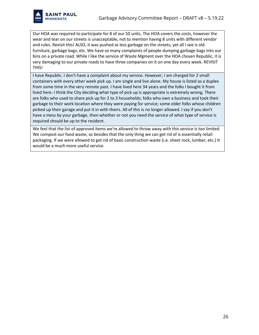

Our HOA was required to participate for 8 of our 50 units. The HOA covers the costs, however the wear and tear on our streets is unacceptable, not to mention having 8 units with different vendor and rules. Revisit this! ALSO, it was pushed as less garbage on the streets, yet all I see is old furniture, garbage bags, etc. We have so many complaints of people dumping garbage bags into our bins on a private road. While I like the service of Waste Mgment over the HOA chosen Republic, it is very damaging to our private roads to have three companies on it on one day every week. REVISIT THIS!

I have Republic. I don't have a complaint about my service. However, I am charged for 2 small containers with every other week pick up. I am single and live alone. My house is listed as a duplex from some time in the very remote past. I have lived here 34 years and the folks I bought it from lived here. I think the City deciding what type of pick up is appropriate is extremely wrong. There are folks who used to share pick up for 2 to 3 households; folks who own a business and took their garbage to their work location where they were paying for service; some older folks whose children picked up their garage and put it in with theirs. All of this is no longer allowed. I say if you don't have a mess by your garbage, then whether or not you need the service of what type of service is required should be up to the resident.

We feel that the list of approved items we're allowed to throw away with this service is too limited. We compost our food waste, so besides that the only thing we can get rid of is essentially retail packaging. If we were allowed to get rid of basic construction waste (i.e. sheet rock, lumber, etc.) It would be a much more useful service.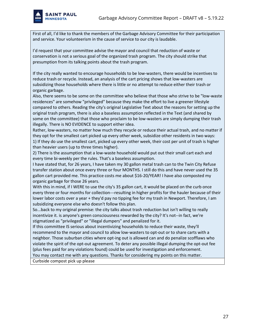

First of all, I'd like to thank the members of the Garbage Advisory Committee for their participation and service. Your volunteerism in the cause of service to our city is laudable.

I'd request that your committee advise the mayor and council that reduction of waste or conservation is not a serious goal of the organized trash program. The city should strike that presumption from its talking points about the trash program.

If the city really wanted to encourage households to be low-wasters, there would be incentives to reduce trash or recycle. Instead, an analysis of the cart pricing shows that low-wasters are subsidizing those households where there is little or no attempt to reduce either their trash or organic garbage.

Also, there seems to be some on the committee who believe that those who strive to be "low-waste residences" are somehow "privileged" because they make the effort to live a greener lifestyle compared to others. Reading the city's original Legislative Text about the reasons for setting up the original trash program, there is also a baseless assumption reflected in the Text (and shared by some on the committee) that those who proclaim to be low-wasters are simply dumping their trash illegally. There is NO EVIDENCE to support either idea.

Rather, low-wasters, no matter how much they recycle or reduce their actual trash, and no matter if they opt for the smallest cart picked up every other week, subsidize other residents in two ways: 1) If they do use the smallest cart, picked up every other week, their cost per unit of trash is higher than heavier users (up to three times higher).

2) There is the assumption that a low-waste household would put out their small cart each and every time bi-weekly per the rules. That's a baseless assumption.

I have stated that, for 26 years, I have taken my 30 gallon metal trash can to the Twin City Refuse transfer station about once every three or four MONTHS. I still do this and have never used the 35 gallon cart provided me. This practice costs me about \$16-20/YEAR! I have also composted my organic garbage for those 26 years.

With this in mind, if I WERE to use the city's 35 gallon cart, it would be placed on the curb once every three or four months for collection---resulting in higher profits for the hauler because of their lower labor costs over a year + they'd pay no tipping fee for my trash in Newport. Therefore, I am subsidizing everyone else who doesn't follow this plan.

So...back to my original premise: the city talks about trash reduction but isn't willing to really incentivize it. is anyone's green consciousness rewarded by the city? It's not--in fact, we're stigmatized as "privileged" or "illegal dumpers" and penalized for it.

If this committee IS serious about incentivizing households to reduce their waste, they'll recommend to the mayor and council to allow low-wasters to opt-out or to share carts with a neighbor. Those suburban cities where opt-ing out is allowed can and do penalize scofflaws who violate the spirit of the opt-out agreement. To deter any possible illegal dumping the opt-out fee (plus fees paid for any violations found) could be used for investigation and enforcement.

You may contact me with any questions. Thanks for considering my points on this matter.

Curbside compost pick up please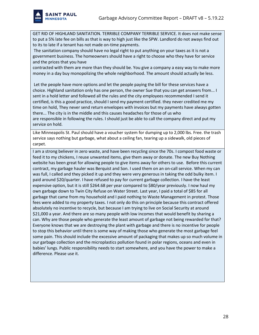

GET RID OF HIGHLAND SANITATION. TERRIBLE COMPANY TERRIBLE SERVICE. It does not make sense to put a 5% late fee on bills as that is way to high just like the SPW. Landlord do not aways find out to its to late if a tenant has not made on-time payments.

The sanitation company should have no legal right to put anything on your taxes as it is not a government business. The homeowners should have a right to choose who they have for service and the prices that you have

contracted with them are more than they should be. You give a company a easy way to make more money in a day buy monopolizing the whole neighborhood. The amount should actually be less.

Let the people have more options and let the people paying the bill for these services have a choice. Highland sanitation only has one person, the owner Sue that you can get answers from... I sent in a hold letter and followed all the rules and the city employees recommended I send it certified, is this a good practice, should I send my payment certified. they never credited me my time on hold, They never send return envelopes with invoices but my payments have always gotten there... The city is in the middle and this causes headaches for those of us who are responsible in following the rules. I should just be able to call the company direct and put my service on hold.

Like Minneapolis St. Paul should have a voucher system for dumping up to 2,000 lbs. Free. the trash service says nothing but garbage, what about a ceiling fan, tearing up a sidewalk, old pieces of carpet.

I am a strong believer in zero waste, and have been recycling since the 70s. I compost food waste or feed it to my chickens, I reuse unwanted items, give them away or donate. The new Buy Nothing website has been great for allowing people to give items away for others to use. Before this current contract, my garbage hauler was Berquist and Son. I used them on an on-call service. When my can was full, I called and they picked it up and they were very generous in taking the odd bulky item. I paid around \$20/quarter. I have refused to pay for current garbage collection. I have the least expensive option, but it is still \$264.68 per year compared to \$80/year previously. I now haul my own garbage down to Twin City Refuse on Water Street. Last year, I paid a total of \$85 for all garbage that came from my household and I paid nothing to Waste Management in protest. Those fees were added to my property taxes. I not only do this on principle because this contract offered absolutely no incentive to recycle, but because I am trying to live on Social Security at around \$21,000 a year. And there are so many people with low incomes that would benefit by sharing a can. Why are those people who generate the least amount of garbage not being rewarded for that? Everyone knows that we are destroying the plant with garbage and there is no incentive for people to stop this behavior until there is some way of making those who generate the most garbage feel some pain. This should include the excessive amount of packaging that makes up so much volume in our garbage collection and the microplastics pollution found in polar regions, oceans and even in babies' lungs. Public responsibility needs to start somewhere, and you have the power to make a difference. Please use it.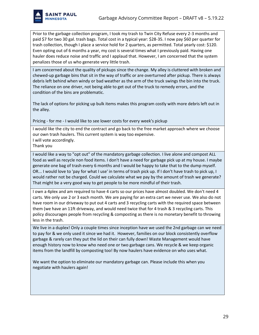

Prior to the garbage collection program, I took my trash to Twin City Refuse every 2-3 months and paid \$7 for two 30 gal. trash bags. Total cost in a typical year: \$28-35. I now pay \$60 per quarter for trash collection, though I place a service hold for 2 quarters, as permitted. Total yearly cost: \$120. Even opting out of 6 months a year, my cost is several times what I previously paid. Having one hauler does reduce noise and traffic and I applaud that. However, I am concerned that the system penalizes those of us who generate very little trash.

I am concerned about the quality of pickups since the change. My alley is cluttered with broken and chewed-up garbage bins that sit in the way of traffic or are overturned after pickup. There is always debris left behind when windy or bad weather as the arm of the truck swings the bin into the truck. The reliance on one driver, not being able to get out of the truck to remedy errors, and the condition of the bins are problematic.

The lack of options for picking up bulk items makes this program costly with more debris left out in the alley.

Pricing - for me - I would like to see lower costs for every week's pickup

I would like the city to end the contract and go back to the free market approach where we choose our own trash haulers. This current system is way too expensive. I will vote accordingly.

Thank you

I would like a way to "opt out" of the mandatory garbage collection. I live alone and compost ALL food as well as recycle non food items. I don't have a need for garbage pick up at my house. I maybe generate one bag of trash every 6 months and I would be happy to take that to the dump myself. OR... I would love to 'pay for what I use' in terms of trash pick up. If I don't have trash to pick up, I would rather not be charged. Could we calculate what we pay by the amount of trash we generate? That might be a very good way to get people to be more mindful of their trash.

I own a 4plex and am required to have 4 carts so our prices have almost doubled. We don't need 4 carts. We only use 2 or 3 each month. We are paying for an extra cart we never use. We also do not have room in our driveway to put out 4 carts and 3 recycling carts with the required space between them (we have an 11ft driveway, and would need twice that for 4 trash & 3 recycling carts. This policy discourages people from recycling & composting as there is no monetary benefit to throwing less in the trash.

We live in a duplex! Only a couple times since inception have we used the 2nd garbage can we need to pay for & we only used it since we had it. However, families on our block consistently overflow garbage & rarely can they put the lid on their can fully down! Waste Management would have enough history now to know who need one or two garbage cans. We recycle & we keep organic items from the landfill by composting too! By now haulers have evidence on who uses what.

We want the option to eliminate our mandatory garbage can. Please include this when you negotiate with haulers again!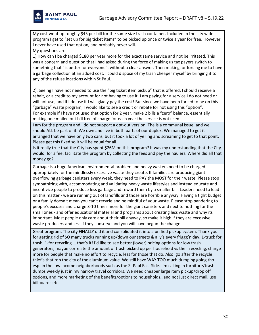

My cost went up roughly \$45 per bill for the same size trash container. Included in the city wide program I get to "set up for big ticket items" to be picked up once or twice a year for free. However I never have used that option, and probably never will.

My questions are:

1) How can I be charged \$180 per year more for the exact same service and not be irritated. This was a concern and question that I had asked during the force of making us tax payers switch to something that "is better for everyone", without a clear answer. Then making, or forcing me to have a garbage collection at an added cost. I could dispose of my trash cheaper myself by bringing it to any of the refuse locations within St.Paul.

2). Seeing I have not needed to use the "big ticket item pickup" that is offered, I should receive a rebait, or a credit to my account for not having to use it. I am paying for a service I do not need or will not use, and if I do use it I will gladly pay the cost! But since we have been forced to be on this "garbage" waste program, I would like to see a credit or rebate for not using this "option". For example if I have not used that option for 2 year, make 2 bills a "zero" balance, essentially making one mailed out bill free of charge for each year the service is not used.

I am for the program and I do not support a opt-out version. The is a communal issue, and we should ALL be part of it. We own and live in both parts of our duplex. We managed to get it arranged that we have only two cans, but it took a lot of yelling and screaming to get to that point. Please get this fixed so it will be equal for all.

Is it really true that the City has spent \$26M on this program? It was my understanding that the City would, for a fee, facilitate the program by collecting the fees and pay the haulers. Where did all that money go?

Garbage is a huge American environmental problem and heavy wasters need to be charged appropriately for the mindlessly excessive waste they create. If families are producing giant overflowing garbage canisters every week, they need to PAY the MOST for their waste. Please stop sympathizing with, accommodating and validating heavy waste lifestyles and instead educate and incentivize people to produce less garbage and reward them by a smaller bill. Leaders need to lead on this matter - we are running out of landfills and those are horrible anyway. Having a tight budget or a family doesn't mean you can't recycle and be mindful of your waste. Please stop pandering to people's excuses and charge 3-10 times more for the giant canisters and next to nothing for the small ones - and offer educational material and programs about creating less waste and why its important. Most people only care about their bill anyway, so make it high if they are excessive waste producers and less if they conserve and you will have begun the change.

Great program. The city FINALLY did it and consolidated it into a unified pickup system. Thank you for getting rid of SO many trucks running up/down our streets & ally's every friggg'n day. 1-truck for trash, 1-for recycling … that's it! I'd like to see better (lower) pricing options for low trash generators, maybe correlate the amount of trash picked up per household vs their recycling, charge more for people that make no effort to recycle, less for those that do. Also, go after the recycle thief's that rob the city of the aluminum value. We still have WAY TOO much dumping going tho esp. in the low income neighborhoods such as the St Paul East Side. I'm calling in furniture/trash dumps weekly just in my narrow travel corridors. We need cheaper large item pickup/drop off options, and more marketing of the benefits/options to households…and not just direct mail, use billboards etc.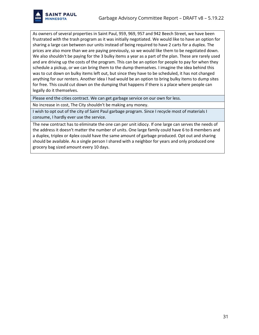

As owners of several properties in Saint Paul, 959, 969, 957 and 942 Beech Street, we have been frustrated with the trash program as it was initially negotiated. We would like to have an option for sharing a large can between our units instead of being required to have 2 carts for a duplex. The prices are also more than we are paying previously, so we would like them to be negotiated down. We also shouldn't be paying for the 3 bulky items a year as a part of the plan. These are rarely used and are driving up the costs of the program. This can be an option for people to pay for when they schedule a pickup, or we can bring them to the dump themselves. I imagine the idea behind this was to cut down on bulky items left out, but since they have to be scheduled, it has not changed anything for our renters. Another idea I had would be an option to bring bulky items to dump sites for free. This could cut down on the dumping that happens if there is a place where people can legally do it themselves.

Please end the cities contract. We can get garbage service on our own for less.

No increase in cost, The City shouldn't be making any money.

I wish to opt out of the city of Saint Paul garbage program. Since I recycle most of materials I consume, I hardly ever use the service.

The new contract has to eliminate the one can per unit idiocy. If one large can serves the needs of the address it doesn't matter the number of units. One large family could have 6 to 8 members and a duplex, triplex or 4plex could have the same amount of garbage produced. Opt out and sharing should be available. As a single person I shared with a neighbor for years and only produced one grocery bag sized amount every 10 days.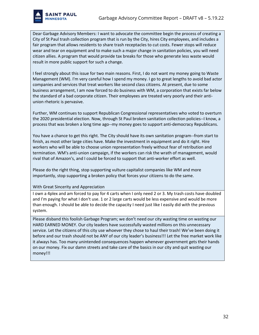

Dear Garbage Advisory Members: I want to advocate the committee begin the process of creating a City of St Paul trash collection program that is run by the City, hires City employees, and includes a fair program that allows residents to share trash receptacles to cut costs. Fewer stops will reduce wear and tear on equipment and to make such a major change in sanitation policies, you will need citizen allies. A program that would provide tax breaks for those who generate less waste would result in more public support for such a change.

I feel strongly about this issue for two main reasons. First, I do not want my money going to Waste Management (WM). I'm very careful how I spend my money. I go to great lengths to avoid bad actor companies and services that treat workers like second class citizens. At present, due to some business arrangement, I am now forced to do business with WM, a corporation that exists far below the standard of a bad corporate citizen. Their employees are treated very poorly and their antiunion rhetoric is pervasive.

Further, WM continues to support Republican Congressional representatives who voted to overturn the 2020 presidential election. Now, through St Paul broken sanitation collection policies--I know, a process that was broken a long time ago--my money goes to support anti-democracy Republicans.

You have a chance to get this right. The City should have its own sanitation program--from start to finish, as most other large cities have. Make the investment in equipment and do it right. Hire workers who will be able to choose union representation freely without fear of retribution and termination. WM's anti-union campaign, if the workers can risk the wrath of management, would rival that of Amazon's, and I could be forced to support that anti-worker effort as well.

Please do the right thing, stop supporting vulture capitalist companies like WM and more importantly, stop supporting a broken policy that forces your citizens to do the same.

With Great Sincerity and Appreciation

I own a 4plex and am forced to pay for 4 carts when I only need 2 or 3. My trash costs have doubled and I'm paying for what I don't use. 1 or 2 large carts would be less expensive and would be more than enough. I should be able to decide the capacity I need just like I easily did with the previous system.

Please disband this foolish Garbage Program; we don't need our city wasting time on wasting our HARD EARNED MONEY. Our city leaders have successfully wasted millions on this unnecessary service. Let the citizens of this city use whoever they chose to haul their trash! We've been doing it before and our trash should not be ANY of our city leader's business!!! Let the free market work like it always has. Too many unintended consequences happen whenever government gets their hands on our money. Fix our damn streets and take care of the basics in our city and quit wasting our money!!!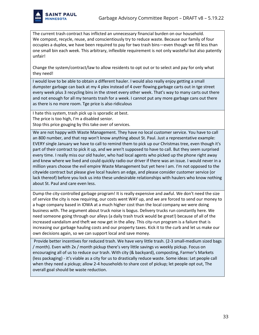

The current trash contract has inflicted an unnecessary financial burden on our household. We compost, recycle, reuse, and conscientiously try to reduce waste. Because our family of four occupies a duplex, we have been required to pay for two trash bins—even though we fill less than one small bin each week. This arbitrary, inflexible requirement is not only wasteful but also patently unfair!

Change the system/contract/law to allow residents to opt out or to select and pay for only what they need!

I would love to be able to obtain a different hauler. I would also really enjoy getting a small dumpster garbage can back at my 4 plex instead of 4 over flowing garbage carts out in tge street every week plus 3 recycling bins in the street every other week. That's way to many carts out there and not enough for all my tenants trash for a week. I cannot put any more garbage cans out there as there is no more room. Tge price is also ridiculous

I hate this system, trash pick up is sporadic at best.

The price is too high, I'm a disabled senior.

Stop this price gouging by this take over of services.

We are not happy with Waste Management. They have no local customer service. You have to call an 800 number, and that rep won't know anything about St. Paul. Just a representative example: EVERY single January we have to call to remind them to pick up our Christmas tree, even though it's part of their contract to pick it up, and we aren't supposed to have to call. But they seem surprised every time. I really miss our old hauler, who had local agents who picked up the phone right away and knew where we lived and could quickly radio our driver if there was an issue. I would never in a million years choose the evil empire Waste Management but yet here I am. I'm not opposed to the citywide contract but please give local haulers an edge, and please consider customer service (or lack thereof) before you lock us into these undesirable relationships with haulers who know nothing about St. Paul and care even less.

Dump the city-controlled garbage program! It is really expensive and awful. We don't need the size of service the city is now requiring, our costs went WAY up, and we are forced to send our money to a huge company based in IOWA at a much higher cost than the local company we were doing business with. The argument about truck noise is bogus. Delivery trucks run constantly here. We need someone going through our alleys (a daily trash truck would be great!) because of all of the increased vandalism and theft we now get in the alley. This city-run program is a failure that is increasing our garbage hauling costs and our property taxes. Kick it to the curb and let us make our own decisions again, so we can support local and save money.

Provide better incentives for reduced trash. We have very little trash. (2-3 small-medium sized bags / month). Even with 2x / month pickup there's very little savings vs weekly pickup. Focus on encouraging all of us to reduce our trash. With city (& backyard), composting, Farmer's Markets (less packaging) - it's viable as a city for us to drastically reduce waste. Some ideas: Let people call when they need a pickup; allow 2-4 households to share cost of pickup; let people opt out, The overall goal should be waste reduction.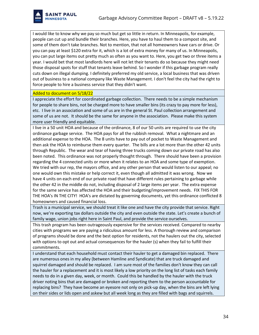

I would like to know why we pay so much but get so little in return. In Minneapolis, for example, people can cut up and bundle their branches. Here, you have to haul them to a compost site, and some of them don't take branches. Not to mention, that not all homeowners have cars or drive. Or you can pay at least \$120 extra for it, which is a lot of extra money for many of us. In Minneapolis, you can put large items out pretty much as often as you want to. Here, you get two or three items a year. I would bet that most landlords here will not let their tenants do so because they might need those disposal spots for stuff that tenants leave behind. So I wonder if this garbage program really cuts down on illegal dumping. I definitely preferred my old service, a local business that was driven out of business to a national company like Waste Management. I don't feel the city had the right to force people to hire a business service that they didn't want.

#### Added to document on 5/18/22

I appreciate the effort for coordinated garbage collection. There needs to be a simple mechanism for people to share bins, not be charged more to have smaller bins (its crazy to pay more for less), etc. I live in an association and some of us are in the general St. Paul collection arrangement and some of us are not. It should be the same for anyone in the association. Please make this system more user friendly and equitable.

I live in a 50 unit HOA and because of the ordinance, 8 of our 50 units are required to use the city ordinance garbage service. The HOA pays for all the rubbish removal. What a nightmare and an additional expense to the HOA. The 8 units have to pay out of pocket to Waste Management and then ask the HOA to reimburse them every quarter. The bills are a lot more than the other 42 units through Republic. The wear and tear of having three trucks coming down our private road has also been noted. This ordinance was not properly thought through. There should have been a provision regarding the 4 connected units or more when it relates to an HOA and some type of exemption. We tried with our rep, the mayors office, and any other person that would listen to our appeal; no one would own this mistake or help correct it, even though all admitted it was wrong. Now we have 4 units on each end of our private road that have different rules pertaining to garbage while the other 42 in the middle do not, including disposal of 2 large items per year. The extra expense for the same service has affected the HOA and their budgeting/improvement needs. FIX THIS FOR THE HOA's IN THE CITY! HOA's are dictated by governing documents, yet this ordinance conflicted 8 homeowners and caused financial loss.

Trash is a municipal service, we should treat it like one and have the city provide that service. Right now, we're exporting tax dollars outside the city and even outside the state. Let's create a bunch of family wage, union jobs right here in Saint Paul, and provide the service ourselves.

This trash program has been outrageously expensive for the services received. Compared to nearby cities with programs we are paying a ridiculous amount for less. A thorough review and comparison of programs should be done and the best option for residents, not the haulers out the city, selected with options to opt out and actual consequences for the hauler (s) when they fail to fulfill their commitments.

I understand that each household must contact their hauler to get a damaged bin replaced. There are numerous ones in my alley (between Hamline and Syndicate) that are truck damaged and squirrel damaged and should be replaced. I am sure most of the families don't know they can call the hauler for a replacement and it is most likely a low priority on the long list of tasks each family needs to do in a given day, week, or month. Could this be handled by the hauler with the truck driver noting bins that are damaged or broken and reporting them to the person accountable for replacing bins? They have become an eyesore not only on pick-up day, when the bins are left lying on their sides or lids open and askew but all week long as they are filled with bags and squirrels.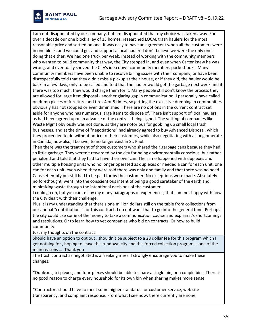

I am not disappointed by our company, but am disappointed that my choice was taken away. For over a decade our one block alley of 13 homes, researched LOCAL trash haulers for the most reasonable price and settled on one. It was easy to have an agreement when all the customers were in one block, and we could get and support a local hauler. I don't believe we were the only ones doing that either. We had one truck per week. Instead of working with the community members who wanted to build community that way, the City stepped in, and even when Carter knew he was wrong, and eventually shoved the City's idea down community members pocketbooks. Many community members have been unable to resolve billing issues with their company, or have been disrespectfully told that they didn't miss a pickup at their house, or if they did, the hauler would be back in a few days, only to be called and told that the hauler would get the garbage next week and if there was too much, they would charge them for it. Many people still don't know the process they are allowed for large item disposal - another glaring gap in communication. I personally have called on dump pieces of furniture and tires 4 or 5 times, so getting the excessive dumping in communities obviously has not stopped or even diminished. There are no options in the current contract set aside for anyone who has numerous large items to dispose of. There isn't support of local haulers, as had been agreed upon in advance of the contract being signed. The vetting of companies like Waste Mgmt obviously was not done, as they are notorious for gobbling up small local trash businesses, and at the time of "negotiations" had already agreed to buy Advanced Disposal, which they proceeded to do without notice to their customers, while also negotiating with a conglomerate in Canada, now also, I believe, to no longer exist in St. Paul.

Then there was the treatment of those customers who shared their garbage cans because they had so little garbage. They weren't rewarded by the city for being environmentally conscious, but rather penalized and told that they had to have their own can. The same happened with duplexes and other multiple housing units who no longer operated as duplexes or needed a can for each unit, one can for each unit, even when they were told there was only one family and that there was no need. Cans set empty but still had to be paid for by the customer. No exceptions were made. Absolutely no forethought went into the conscientious intent of being a good caretaker of the earth and minimizing waste through the intentional decisions of the customer.

I could go on, but you can tell by my many paragraphs of experiences, that I am not happy with how the City dealt with their challenge.

Plus it is my understanding that there's one million dollars still on the table from collections from our annual "contributions" for this contract. I do not want that to go into the general fund. Perhaps the city could use some of the money to take a communication course and explain it's shortcomings and resolutions. Or to learn how to vet companies who bid on contracts. Or how to build community.

Just my thoughts on the contract!

Should have an option to opt out , shouldn't be subject to a 28 dollar fee for this program which I get nothing for , hoping to leave this rundown city and this forced collection program is one of the main reasons …. Thank you

The trash contract as negotiated is a freaking mess. I strongly encourage you to make these changes:

\*Duplexes, tri-plexes, and four-plexes should be able to share a single bin, or a couple bins. There is no good reason to charge every household for its own bin when sharing makes more sense.

\*Contractors should have to meet some higher standards for customer service, web site transparency, and complaint response. From what I see now, there currently are none.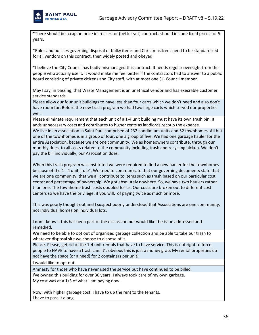

\*There should be a cap on price increases, or (better yet) contracts should include fixed prices for 5 years.

\*Rules and policies governing disposal of bulky items and Christmas trees need to be standardized for all vendors on this contract, then widely posted and obeyed.

\*I believe the City Council has badly mismanaged this contract. It needs regular oversight from the people who actually use it. It would make me feel better if the contractors had to answer to a public board consisting of private citizens and City staff, with at most one (1) Council member.

May I say, in passing, that Waste Management is an unethical vendor and has execrable customer service standards.

Please allow our four unit buildings to have less than four carts which we don't need and also don't have room for. Before the new trash program we had two large carts which served our properties well.

Please eliminate requirement that each unit of a 1-4 unit building must have its own trash bin. It adds unnecessary costs and contributes to higher rents as landlords recoup the expense.

We live in an association in Saint Paul comprised of 232 condimium units and 52 townhomes. All but one of the townhomes is in a group of four, one a group of five. We had one garbage hauler for the entire Association, because we are one community. We as homeowners contribute, through our monthly dues, to all costs related to the community including trash and recycling pickup. We don't pay the bill individually, our Association does.

When this trash program was instituted we were required to find a new hauler for the townhomes because of the 1 - 4 unit "rule". We tried to communicate that our governing documents state that we are one community, that we all contribute to items such as trash based on our particular cost center and percentage of ownership. We got absolutely nowhere. So, we have two haulers rather than one. The townhome trash costs doubled for us. Our costs are broken out to different cost centers so we have the privilege, if you will, of paying twice as much or more.

This was poorly thought out and I suspect poorly understood that Associations are one community, not individual homes on individual lots.

I don't know if this has been part of the discussion but would like the issue addressed and remedied.

We need to be able to opt out of organized garbage collection and be able to take our trash to whatever disposal site we choose to dispose of it.

Please. Please, get rid of the 1-4 unit rentals that have to have service. This is not right to force people to HAVE to have a trash can. It's obvious this is just a money grab. My rental properties do not have the space (or a need) for 2 containers per unit.

I would like to opt out.

Amnesty for those who have never used the service but have continued to be billed.

I've owned this building for over 30 years. I always took care of my own garbage. My cost was at a 1/3 of what I am paying now.

Now, with higher garbage cost, I have to up the rent to the tenants. I have to pass it along.